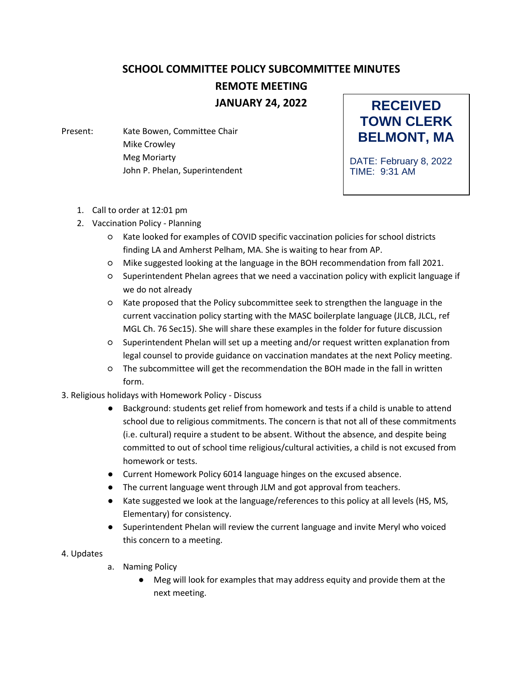## **SCHOOL COMMITTEE POLICY SUBCOMMITTEE MINUTES REMOTE MEETING JANUARY 24, 2022**

Present: Kate Bowen, Committee Chair Mike Crowley Meg Moriarty John P. Phelan, Superintendent

**RECEIVED TOWN CLERK BELMONT, MA**

DATE: February 8, 2022 TIME: 9:31 AM

- 1. Call to order at 12:01 pm
- 2. Vaccination Policy Planning
	- Kate looked for examples of COVID specific vaccination policies for school districts finding LA and Amherst Pelham, MA. She is waiting to hear from AP.
	- Mike suggested looking at the language in the BOH recommendation from fall 2021.
	- Superintendent Phelan agrees that we need a vaccination policy with explicit language if we do not already
	- Kate proposed that the Policy subcommittee seek to strengthen the language in the current vaccination policy starting with the MASC boilerplate language (JLCB, JLCL, ref MGL Ch. 76 Sec15). She will share these examples in the folder for future discussion
	- Superintendent Phelan will set up a meeting and/or request written explanation from legal counsel to provide guidance on vaccination mandates at the next Policy meeting.
	- The subcommittee will get the recommendation the BOH made in the fall in written form.
- 3. Religious holidays with Homework Policy Discuss
	- Background: students get relief from homework and tests if a child is unable to attend school due to religious commitments. The concern is that not all of these commitments (i.e. cultural) require a student to be absent. Without the absence, and despite being committed to out of school time religious/cultural activities, a child is not excused from homework or tests.
	- Current Homework Policy 6014 language hinges on the excused absence.
	- The current language went through JLM and got approval from teachers.
	- Kate suggested we look at the language/references to this policy at all levels (HS, MS, Elementary) for consistency.
	- Superintendent Phelan will review the current language and invite Meryl who voiced this concern to a meeting.
- 4. Updates
- a. Naming Policy
	- Meg will look for examples that may address equity and provide them at the next meeting.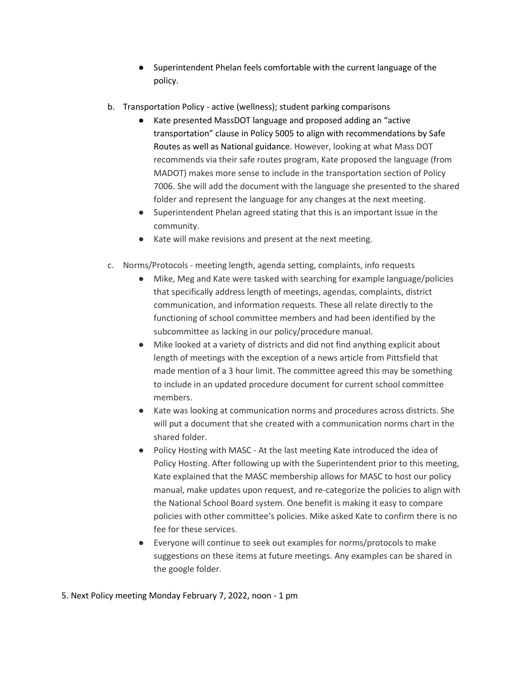- Superintendent Phelan feels comfortable with the current language of the policy.
- b. Transportation Policy active (wellness); student parking comparisons
	- Kate presented MassDOT language and proposed adding an "active transportation" clause in Policy 5005 to align with recommendations by Safe Routes as well as National guidance. However, looking at what Mass DOT recommends via their safe routes program, Kate proposed the language (from MADOT) makes more sense to include in the transportation section of Policy 7006. She will add the document with the language she presented to the shared folder and represent the language for any changes at the next meeting.
	- Superintendent Phelan agreed stating that this is an important issue in the community.
	- Kate will make revisions and present at the next meeting.
- c. Norms/Protocols meeting length, agenda setting, complaints, info requests
	- Mike, Meg and Kate were tasked with searching for example language/policies that specifically address length of meetings, agendas, complaints, district communication, and information requests. These all relate directly to the functioning of school committee members and had been identified by the subcommittee as lacking in our policy/procedure manual.
	- Mike looked at a variety of districts and did not find anything explicit about length of meetings with the exception of a news article from Pittsfield that made mention of a 3 hour limit. The committee agreed this may be something to include in an updated procedure document for current school committee members.
	- Kate was looking at communication norms and procedures across districts. She will put a document that she created with a communication norms chart in the shared folder.
	- Policy Hosting with MASC At the last meeting Kate introduced the idea of Policy Hosting. After following up with the Superintendent prior to this meeting, Kate explained that the MASC membership allows for MASC to host our policy manual, make updates upon request, and re-categorize the policies to align with the National School Board system. One benefit is making it easy to compare policies with other committee's policies. Mike asked Kate to confirm there is no fee for these services.
	- Everyone will continue to seek out examples for norms/protocols to make suggestions on these items at future meetings. Any examples can be shared in the google folder.

## 5. Next Policy meeting Monday February 7, 2022, noon - 1 pm